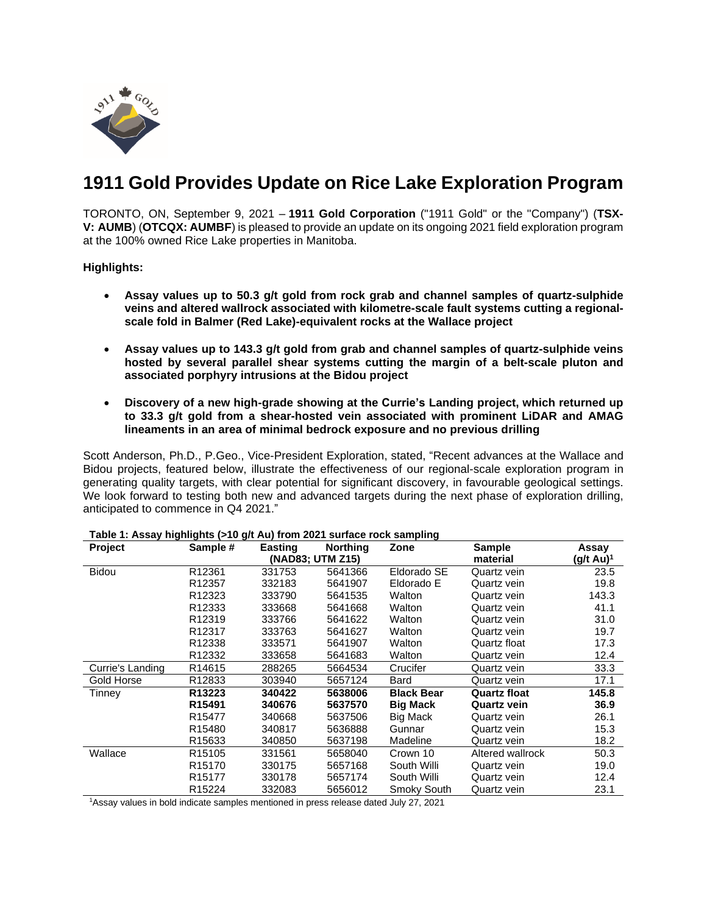

# **1911 Gold Provides Update on Rice Lake Exploration Program**

TORONTO, ON, September 9, 2021 – **1911 Gold Corporation** ("1911 Gold" or the "Company") (**TSX-V: AUMB**) (**OTCQX: AUMBF**) is pleased to provide an update on its ongoing 2021 field exploration program at the 100% owned Rice Lake properties in Manitoba.

**Highlights:**

- **Assay values up to 50.3 g/t gold from rock grab and channel samples of quartz-sulphide veins and altered wallrock associated with kilometre-scale fault systems cutting a regionalscale fold in Balmer (Red Lake)-equivalent rocks at the Wallace project**
- **Assay values up to 143.3 g/t gold from grab and channel samples of quartz-sulphide veins hosted by several parallel shear systems cutting the margin of a belt-scale pluton and associated porphyry intrusions at the Bidou project**
- **Discovery of a new high-grade showing at the Currie's Landing project, which returned up to 33.3 g/t gold from a shear-hosted vein associated with prominent LiDAR and AMAG lineaments in an area of minimal bedrock exposure and no previous drilling**

Scott Anderson, Ph.D., P.Geo., Vice-President Exploration, stated, "Recent advances at the Wallace and Bidou projects, featured below, illustrate the effectiveness of our regional-scale exploration program in generating quality targets, with clear potential for significant discovery, in favourable geological settings. We look forward to testing both new and advanced targets during the next phase of exploration drilling, anticipated to commence in Q4 2021."

| <b>Project</b>   | Sample #           | Easting | <b>Northing</b> | Zone              | Sample              | Assay                 |
|------------------|--------------------|---------|-----------------|-------------------|---------------------|-----------------------|
|                  | (NAD83; UTM Z15)   |         |                 |                   | material            | (g/t Au) <sup>1</sup> |
| <b>Bidou</b>     | R <sub>12361</sub> | 331753  | 5641366         | Eldorado SE       | Quartz vein         | 23.5                  |
|                  | R12357             | 332183  | 5641907         | Eldorado E        | Quartz vein         | 19.8                  |
|                  | R <sub>12323</sub> | 333790  | 5641535         | Walton            | Quartz vein         | 143.3                 |
|                  | R <sub>12333</sub> | 333668  | 5641668         | Walton            | Quartz vein         | 41.1                  |
|                  | R <sub>12319</sub> | 333766  | 5641622         | Walton            | Quartz vein         | 31.0                  |
|                  | R12317             | 333763  | 5641627         | Walton            | Quartz vein         | 19.7                  |
|                  | R12338             | 333571  | 5641907         | Walton            | Quartz float        | 17.3                  |
|                  | R <sub>12332</sub> | 333658  | 5641683         | Walton            | Quartz vein         | 12.4                  |
| Currie's Landing | R <sub>14615</sub> | 288265  | 5664534         | Crucifer          | Quartz vein         | 33.3                  |
| Gold Horse       | R12833             | 303940  | 5657124         | Bard              | Quartz vein         | 17.1                  |
| Tinney           | R13223             | 340422  | 5638006         | <b>Black Bear</b> | <b>Quartz float</b> | 145.8                 |
|                  | R <sub>15491</sub> | 340676  | 5637570         | <b>Big Mack</b>   | <b>Quartz vein</b>  | 36.9                  |
|                  | R <sub>15477</sub> | 340668  | 5637506         | Big Mack          | Quartz vein         | 26.1                  |
|                  | R <sub>15480</sub> | 340817  | 5636888         | Gunnar            | Quartz vein         | 15.3                  |
|                  | R <sub>15633</sub> | 340850  | 5637198         | Madeline          | Quartz vein         | 18.2                  |
| Wallace          | R <sub>15105</sub> | 331561  | 5658040         | Crown 10          | Altered wallrock    | 50.3                  |
|                  | R <sub>15170</sub> | 330175  | 5657168         | South Willi       | Quartz vein         | 19.0                  |
|                  | R <sub>15177</sub> | 330178  | 5657174         | South Willi       | Quartz vein         | 12.4                  |
|                  | R <sub>15224</sub> | 332083  | 5656012         | Smoky South       | Quartz vein         | 23.1                  |

**Table 1: Assay highlights (>10 g/t Au) from 2021 surface rock sampling**

1Assay values in bold indicate samples mentioned in press release dated July 27, 2021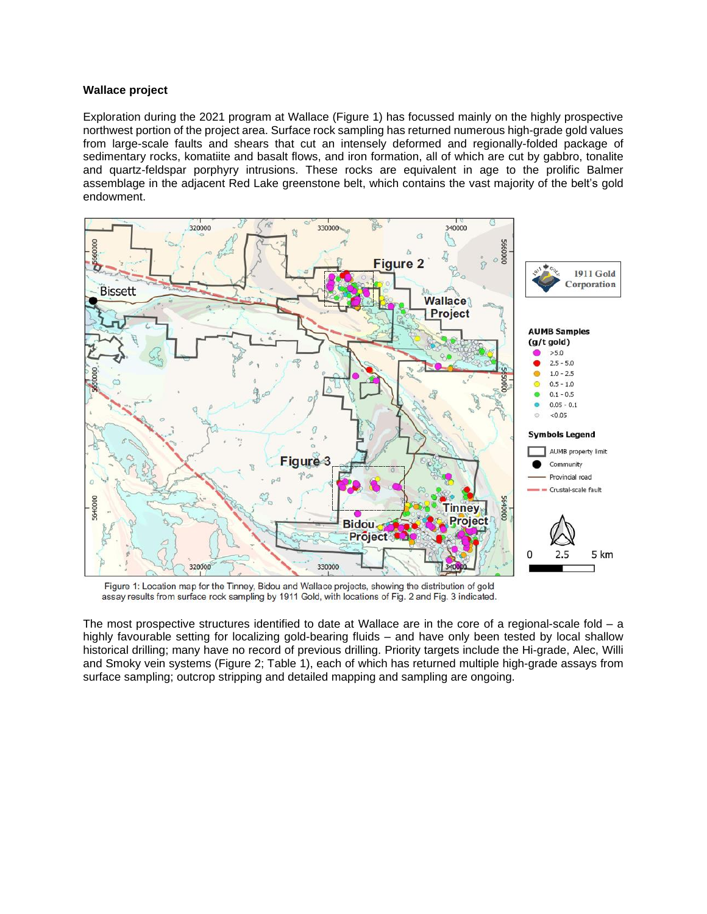#### **Wallace project**

Exploration during the 2021 program at Wallace (Figure 1) has focussed mainly on the highly prospective northwest portion of the project area. Surface rock sampling has returned numerous high-grade gold values from large-scale faults and shears that cut an intensely deformed and regionally-folded package of sedimentary rocks, komatiite and basalt flows, and iron formation, all of which are cut by gabbro, tonalite and quartz-feldspar porphyry intrusions. These rocks are equivalent in age to the prolific Balmer assemblage in the adjacent Red Lake greenstone belt, which contains the vast majority of the belt's gold endowment.



Figure 1: Location map for the Tinney, Bidou and Wallace projects, showing the distribution of gold assay results from surface rock sampling by 1911 Gold, with locations of Fig. 2 and Fig. 3 indicated.

The most prospective structures identified to date at Wallace are in the core of a regional-scale fold – a highly favourable setting for localizing gold-bearing fluids – and have only been tested by local shallow historical drilling; many have no record of previous drilling. Priority targets include the Hi-grade, Alec, Willi and Smoky vein systems (Figure 2; Table 1), each of which has returned multiple high-grade assays from surface sampling; outcrop stripping and detailed mapping and sampling are ongoing.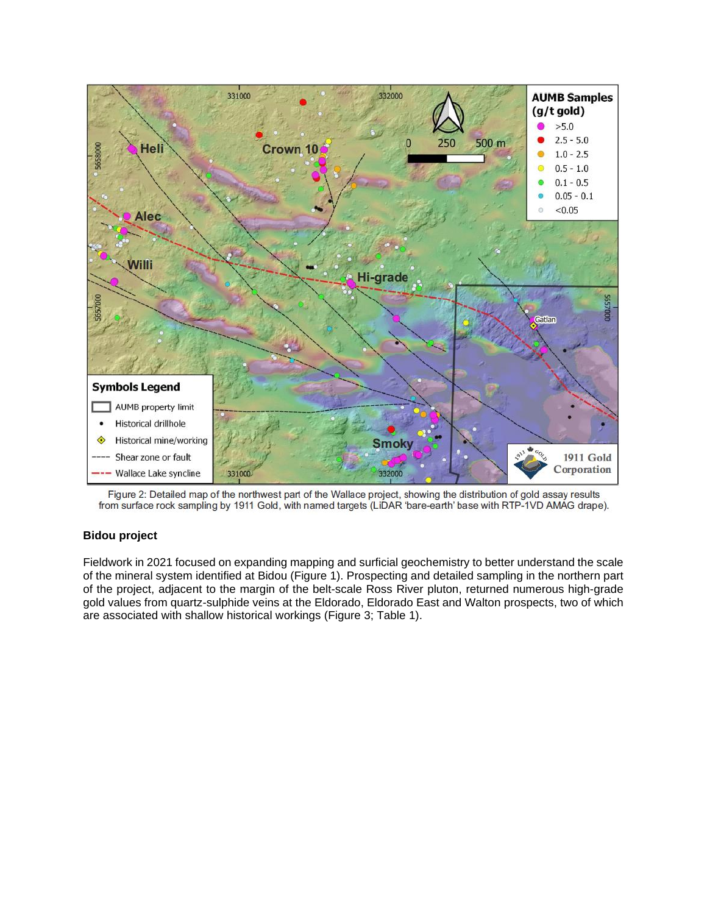

Figure 2: Detailed map of the northwest part of the Wallace project, showing the distribution of gold assay results from surface rock sampling by 1911 Gold, with named targets (LiDAR 'bare-earth' base with RTP-1VD AMAG dra

# **Bidou project**

Fieldwork in 2021 focused on expanding mapping and surficial geochemistry to better understand the scale of the mineral system identified at Bidou (Figure 1). Prospecting and detailed sampling in the northern part of the project, adjacent to the margin of the belt-scale Ross River pluton, returned numerous high-grade gold values from quartz-sulphide veins at the Eldorado, Eldorado East and Walton prospects, two of which are associated with shallow historical workings (Figure 3; Table 1).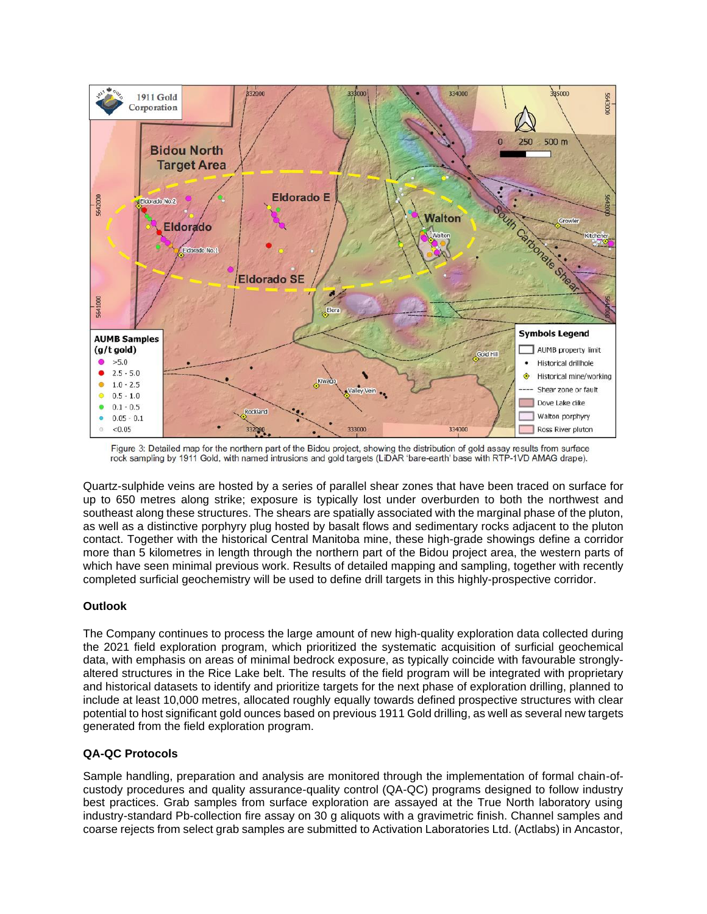

Figure 3: Detailed map for the northern part of the Bidou project, showing the distribution of gold assay results from surface rock sampling by 1911 Gold, with named intrusions and gold targets (LiDAR 'bare-earth' base with RTP-1VD AMAG drape).

Quartz-sulphide veins are hosted by a series of parallel shear zones that have been traced on surface for up to 650 metres along strike; exposure is typically lost under overburden to both the northwest and southeast along these structures. The shears are spatially associated with the marginal phase of the pluton, as well as a distinctive porphyry plug hosted by basalt flows and sedimentary rocks adjacent to the pluton contact. Together with the historical Central Manitoba mine, these high-grade showings define a corridor more than 5 kilometres in length through the northern part of the Bidou project area, the western parts of which have seen minimal previous work. Results of detailed mapping and sampling, together with recently completed surficial geochemistry will be used to define drill targets in this highly-prospective corridor.

## **Outlook**

The Company continues to process the large amount of new high-quality exploration data collected during the 2021 field exploration program, which prioritized the systematic acquisition of surficial geochemical data, with emphasis on areas of minimal bedrock exposure, as typically coincide with favourable stronglyaltered structures in the Rice Lake belt. The results of the field program will be integrated with proprietary and historical datasets to identify and prioritize targets for the next phase of exploration drilling, planned to include at least 10,000 metres, allocated roughly equally towards defined prospective structures with clear potential to host significant gold ounces based on previous 1911 Gold drilling, as well as several new targets generated from the field exploration program.

# **QA-QC Protocols**

Sample handling, preparation and analysis are monitored through the implementation of formal chain-ofcustody procedures and quality assurance-quality control (QA-QC) programs designed to follow industry best practices. Grab samples from surface exploration are assayed at the True North laboratory using industry-standard Pb-collection fire assay on 30 g aliquots with a gravimetric finish. Channel samples and coarse rejects from select grab samples are submitted to Activation Laboratories Ltd. (Actlabs) in Ancastor,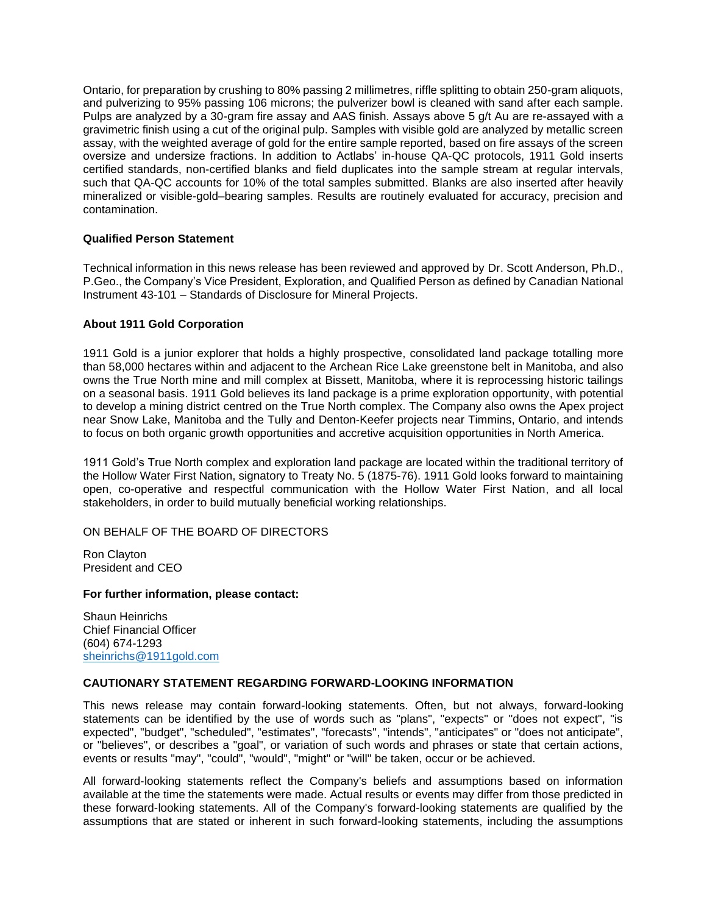Ontario, for preparation by crushing to 80% passing 2 millimetres, riffle splitting to obtain 250-gram aliquots, and pulverizing to 95% passing 106 microns; the pulverizer bowl is cleaned with sand after each sample. Pulps are analyzed by a 30-gram fire assay and AAS finish. Assays above 5 g/t Au are re-assayed with a gravimetric finish using a cut of the original pulp. Samples with visible gold are analyzed by metallic screen assay, with the weighted average of gold for the entire sample reported, based on fire assays of the screen oversize and undersize fractions. In addition to Actlabs' in-house QA-QC protocols, 1911 Gold inserts certified standards, non-certified blanks and field duplicates into the sample stream at regular intervals, such that QA-QC accounts for 10% of the total samples submitted. Blanks are also inserted after heavily mineralized or visible-gold–bearing samples. Results are routinely evaluated for accuracy, precision and contamination.

# **Qualified Person Statement**

Technical information in this news release has been reviewed and approved by Dr. Scott Anderson, Ph.D., P.Geo., the Company's Vice President, Exploration, and Qualified Person as defined by Canadian National Instrument 43-101 – Standards of Disclosure for Mineral Projects.

# **About 1911 Gold Corporation**

1911 Gold is a junior explorer that holds a highly prospective, consolidated land package totalling more than 58,000 hectares within and adjacent to the Archean Rice Lake greenstone belt in Manitoba, and also owns the True North mine and mill complex at Bissett, Manitoba, where it is reprocessing historic tailings on a seasonal basis. 1911 Gold believes its land package is a prime exploration opportunity, with potential to develop a mining district centred on the True North complex. The Company also owns the Apex project near Snow Lake, Manitoba and the Tully and Denton-Keefer projects near Timmins, Ontario, and intends to focus on both organic growth opportunities and accretive acquisition opportunities in North America.

1911 Gold's True North complex and exploration land package are located within the traditional territory of the Hollow Water First Nation, signatory to Treaty No. 5 (1875-76). 1911 Gold looks forward to maintaining open, co-operative and respectful communication with the Hollow Water First Nation, and all local stakeholders, in order to build mutually beneficial working relationships.

## ON BEHALF OF THE BOARD OF DIRECTORS

Ron Clayton President and CEO

## **For further information, please contact:**

Shaun Heinrichs Chief Financial Officer (604) 674-1293 [sheinrichs@1911gold.com](mailto:sheinrichs@1911gold.com)

## **CAUTIONARY STATEMENT REGARDING FORWARD-LOOKING INFORMATION**

This news release may contain forward-looking statements. Often, but not always, forward-looking statements can be identified by the use of words such as "plans", "expects" or "does not expect", "is expected", "budget", "scheduled", "estimates", "forecasts", "intends", "anticipates" or "does not anticipate", or "believes", or describes a "goal", or variation of such words and phrases or state that certain actions, events or results "may", "could", "would", "might" or "will" be taken, occur or be achieved.

All forward-looking statements reflect the Company's beliefs and assumptions based on information available at the time the statements were made. Actual results or events may differ from those predicted in these forward-looking statements. All of the Company's forward-looking statements are qualified by the assumptions that are stated or inherent in such forward-looking statements, including the assumptions